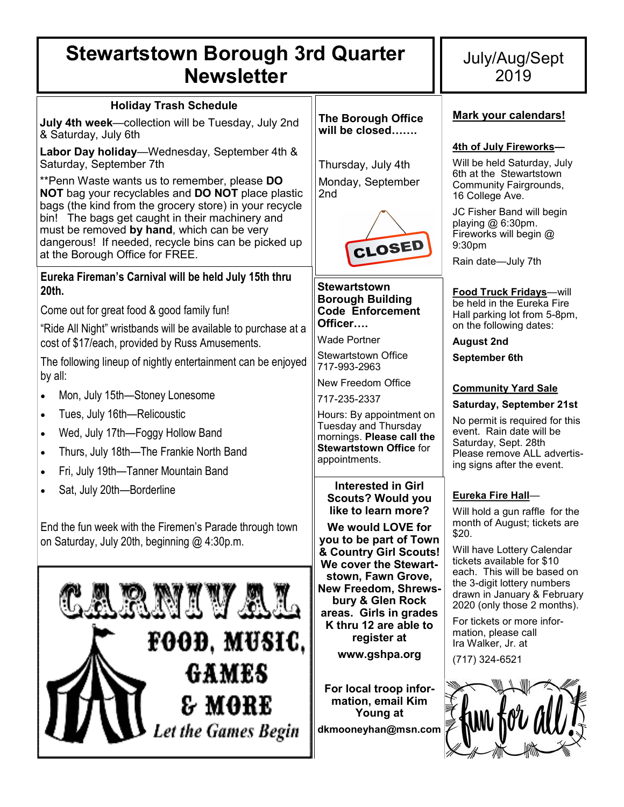# **Stewartstown Borough 3rd Quarter Newsletter**

# July/Aug/Sept 2019

| <b>UWJIULLUI</b>                                                                                                                                                                                                                                                                                                                                                                                                                  |                                                                                                                                                                                                                                            |                                                                                                                                                                                                                                                    |
|-----------------------------------------------------------------------------------------------------------------------------------------------------------------------------------------------------------------------------------------------------------------------------------------------------------------------------------------------------------------------------------------------------------------------------------|--------------------------------------------------------------------------------------------------------------------------------------------------------------------------------------------------------------------------------------------|----------------------------------------------------------------------------------------------------------------------------------------------------------------------------------------------------------------------------------------------------|
| <b>Holiday Trash Schedule</b><br>July 4th week-collection will be Tuesday, July 2nd<br>& Saturday, July 6th                                                                                                                                                                                                                                                                                                                       | <b>The Borough Office</b><br>will be closed                                                                                                                                                                                                | Mark your calendars!                                                                                                                                                                                                                               |
| Labor Day holiday—Wednesday, September 4th &<br>Saturday, September 7th<br>**Penn Waste wants us to remember, please DO<br>NOT bag your recyclables and DO NOT place plastic<br>bags (the kind from the grocery store) in your recycle<br>bin! The bags get caught in their machinery and<br>must be removed by hand, which can be very<br>dangerous! If needed, recycle bins can be picked up<br>at the Borough Office for FREE. | Thursday, July 4th<br>Monday, September<br>2nd<br>CLOSED                                                                                                                                                                                   | 4th of July Fireworks-<br>Will be held Saturday, July<br>6th at the Stewartstown<br><b>Community Fairgrounds,</b><br>16 College Ave.<br>JC Fisher Band will begin<br>playing $@6:30$ pm.<br>Fireworks will begin @<br>9:30pm<br>Rain date-July 7th |
| Eureka Fireman's Carnival will be held July 15th thru<br>20th.<br>Come out for great food & good family fun!<br>"Ride All Night" wristbands will be available to purchase at a<br>cost of \$17/each, provided by Russ Amusements.                                                                                                                                                                                                 | <b>Stewartstown</b><br><b>Borough Building</b><br><b>Code Enforcement</b><br>Officer<br>Wade Portner<br><b>Stewartstown Office</b>                                                                                                         | <b>Food Truck Fridays</b> —will<br>be held in the Eureka Fire<br>Hall parking lot from 5-8pm,<br>on the following dates:<br><b>August 2nd</b><br>September 6th                                                                                     |
| The following lineup of nightly entertainment can be enjoyed<br>by all:<br>Mon, July 15th-Stoney Lonesome<br>Tues, July 16th-Relicoustic<br>$\bullet$<br>Wed, July 17th-Foggy Hollow Band<br>$\bullet$<br>Thurs, July 18th-The Frankie North Band<br>$\bullet$<br>Fri, July 19th-Tanner Mountain Band<br>$\bullet$                                                                                                                | 717-993-2963<br>New Freedom Office<br>717-235-2337<br>Hours: By appointment on<br><b>Tuesday and Thursday</b><br>mornings. Please call the<br><b>Stewartstown Office for</b><br>appointments.                                              | <b>Community Yard Sale</b><br><b>Saturday, September 21st</b><br>No permit is required for this<br>event. Rain date will be<br>Saturday, Sept. 28th<br>Please remove ALL advertis-<br>ing signs after the event.                                   |
| Sat, July 20th-Borderline<br>$\bullet$<br>End the fun week with the Firemen's Parade through town<br>on Saturday, July 20th, beginning @ 4:30p.m.                                                                                                                                                                                                                                                                                 | <b>Interested in Girl</b><br><b>Scouts? Would you</b><br>like to learn more?<br>We would LOVE for<br>you to be part of Town<br>& Country Girl Scouts!<br>We cover the Stewart-                                                             | Eureka Fire Hall-<br>Will hold a gun raffle for the<br>month of August; tickets are<br>\$20.<br>Will have Lottery Calendar<br>tickets available for \$10                                                                                           |
| RNIVAL<br>FOOD, MUSIC,<br>GAMES<br>& MORE<br>Let the Games Begin                                                                                                                                                                                                                                                                                                                                                                  | stown, Fawn Grove,<br><b>New Freedom, Shrews-</b><br>bury & Glen Rock<br>areas. Girls in grades<br>K thru 12 are able to<br>register at<br>www.gshpa.org<br>For local troop infor-<br>mation, email Kim<br>Young at<br>dkmooneyhan@msn.com | each. This will be based on<br>the 3-digit lottery numbers<br>drawn in January & February<br>2020 (only those 2 months).<br>For tickets or more infor-<br>mation, please call<br>Ira Walker, Jr. at<br>(717) 324-6521                              |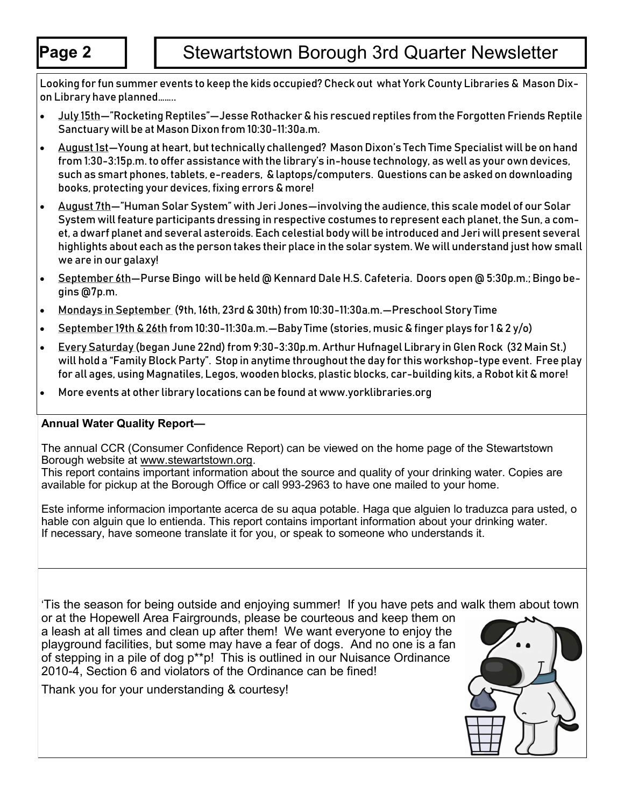Looking for fun summer events to keep the kids occupied? Check out what York County Libraries & Mason Dixon Library have planned……..

- July 15th—"Rocketing Reptiles"—Jesse Rothacker & his rescued reptiles from the Forgotten Friends Reptile Sanctuary will be at Mason Dixon from 10:30-11:30a.m.
- August 1st—Young at heart, but technically challenged? Mason Dixon's Tech Time Specialist will be on hand from 1:30-3:15p.m. to offer assistance with the library's in-house technology, as well as your own devices, such as smart phones, tablets, e-readers, & laptops/computers. Questions can be asked on downloading books, protecting your devices, fixing errors & more!
- August 7th—"Human Solar System" with Jeri Jones—involving the audience, this scale model of our Solar System will feature participants dressing in respective costumes to represent each planet, the Sun, a comet, a dwarf planet and several asteroids. Each celestial body will be introduced and Jeri will present several highlights about each as the person takes their place in the solar system. We will understand just how small we are in our galaxy!
- · September 6th-Purse Bingo will be held @ Kennard Dale H.S. Cafeteria. Doors open @ 5:30p.m.; Bingo begins @7p.m.
- Mondays in September (9th, 16th, 23rd & 30th) from 10:30-11:30a.m.—Preschool Story Time
- September 19th & 26th from 10:30-11:30a.m.—Baby Time (stories, music & finger plays for 1 & 2 y/o)
- Every Saturday (began June 22nd) from 9:30-3:30p.m. Arthur Hufnagel Library in Glen Rock (32 Main St.) will hold a "Family Block Party". Stop in anytime throughout the day for this workshop-type event. Free play for all ages, using Magnatiles, Legos, wooden blocks, plastic blocks, car-building kits, a Robot kit & more!
- More events at other library locations can be found at www.yorklibraries.org

## **Annual Water Quality Report—**

The annual CCR (Consumer Confidence Report) can be viewed on the home page of the Stewartstown Borough website at www.stewartstown.org.

This report contains important information about the source and quality of your drinking water. Copies are available for pickup at the Borough Office or call 993-2963 to have one mailed to your home.

Este informe informacion importante acerca de su aqua potable. Haga que alguien lo traduzca para usted, o hable con alguin que lo entienda. This report contains important information about your drinking water. If necessary, have someone translate it for you, or speak to someone who understands it.

'Tis the season for being outside and enjoying summer! If you have pets and walk them about town or at the Hopewell Area Fairgrounds, please be courteous and keep them on a leash at all times and clean up after them! We want everyone to enjoy the playground facilities, but some may have a fear of dogs. And no one is a fan of stepping in a pile of dog p\*\*p! This is outlined in our Nuisance Ordinance 2010-4, Section 6 and violators of the Ordinance can be fined!

Thank you for your understanding & courtesy!

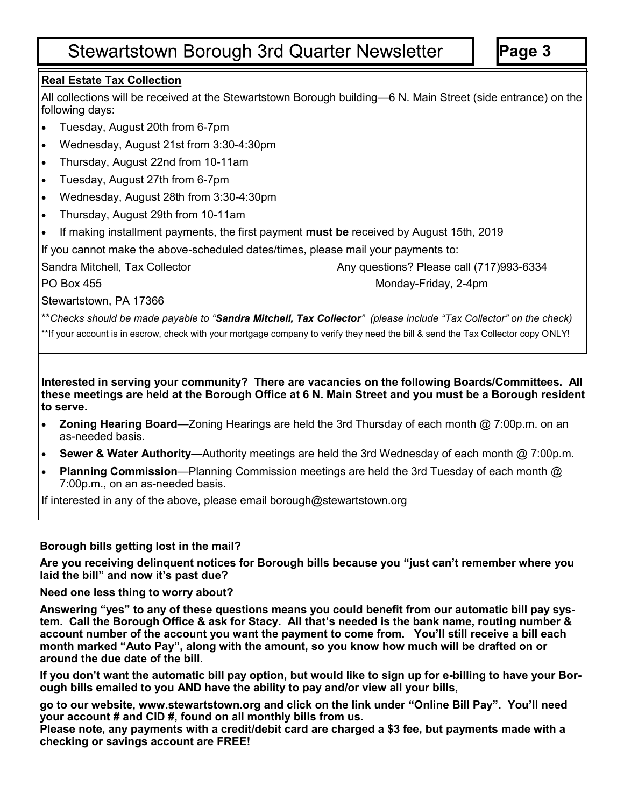# **Stewartstown Borough 3rd Quarter Newsletter**

## **Real Estate Tax Collection**

All collections will be received at the Stewartstown Borough building—6 N. Main Street (side entrance) on the following days:

- Tuesday, August 20th from 6-7pm
- Wednesday, August 21st from 3:30-4:30pm
- Thursday, August 22nd from 10-11am
- Tuesday, August 27th from 6-7pm
- Wednesday, August 28th from 3:30-4:30pm
- Thursday, August 29th from 10-11am
- If making installment payments, the first payment **must be** received by August 15th, 2019

If you cannot make the above-scheduled dates/times, please mail your payments to:

Sandra Mitchell, Tax Collector **Any questions? Please call (717)993-6334** 

PO Box 455 Monday-Friday, 2-4pm

Stewartstown, PA 17366

\*\**Checks should be made payable to "Sandra Mitchell, Tax Collector" (please include "Tax Collector" on the check)* \*\*If your account is in escrow, check with your mortgage company to verify they need the bill & send the Tax Collector copy ONLY!

**Interested in serving your community? There are vacancies on the following Boards/Committees. All these meetings are held at the Borough Office at 6 N. Main Street and you must be a Borough resident to serve.** 

- **Zoning Hearing Board**—Zoning Hearings are held the 3rd Thursday of each month @ 7:00p.m. on an as-needed basis.
- **Sewer & Water Authority**—Authority meetings are held the 3rd Wednesday of each month @ 7:00p.m.
- **Planning Commission**—Planning Commission meetings are held the 3rd Tuesday of each month @ 7:00p.m., on an as-needed basis.

If interested in any of the above, please email borough@stewartstown.org

## **Borough bills getting lost in the mail?**

**Are you receiving delinquent notices for Borough bills because you "just can't remember where you laid the bill" and now it's past due?**

**Need one less thing to worry about?**

**Answering "yes" to any of these questions means you could benefit from our automatic bill pay system. Call the Borough Office & ask for Stacy. All that's needed is the bank name, routing number & account number of the account you want the payment to come from. You'll still receive a bill each month marked "Auto Pay", along with the amount, so you know how much will be drafted on or around the due date of the bill.** 

**If you don't want the automatic bill pay option, but would like to sign up for e-billing to have your Borough bills emailed to you AND have the ability to pay and/or view all your bills,** 

**go to our website, www.stewartstown.org and click on the link under "Online Bill Pay". You'll need your account # and CID #, found on all monthly bills from us.** 

**Please note, any payments with a credit/debit card are charged a \$3 fee, but payments made with a checking or savings account are FREE!**